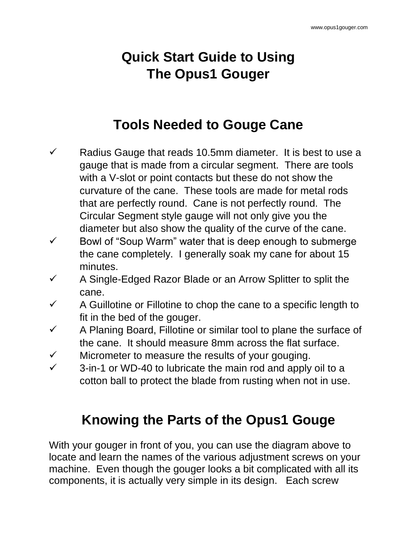## **Quick Start Guide to Using The Opus1 Gouger**

## **Tools Needed to Gouge Cane**

- $\checkmark$  Radius Gauge that reads 10.5mm diameter. It is best to use a gauge that is made from a circular segment. There are tools with a V-slot or point contacts but these do not show the curvature of the cane. These tools are made for metal rods that are perfectly round. Cane is not perfectly round. The Circular Segment style gauge will not only give you the diameter but also show the quality of the curve of the cane.
- $\checkmark$  Bowl of "Soup Warm" water that is deep enough to submerge the cane completely. I generally soak my cane for about 15 minutes.
- $\checkmark$  A Single-Edged Razor Blade or an Arrow Splitter to split the cane.
- $\checkmark$  A Guillotine or Fillotine to chop the cane to a specific length to fit in the bed of the gouger.
- $\checkmark$  A Planing Board, Fillotine or similar tool to plane the surface of the cane. It should measure 8mm across the flat surface.
- $\checkmark$  Micrometer to measure the results of your gouging.
- $\checkmark$  3-in-1 or WD-40 to lubricate the main rod and apply oil to a cotton ball to protect the blade from rusting when not in use.

## **Knowing the Parts of the Opus1 Gouge**

With your gouger in front of you, you can use the diagram above to locate and learn the names of the various adjustment screws on your machine. Even though the gouger looks a bit complicated with all its components, it is actually very simple in its design. Each screw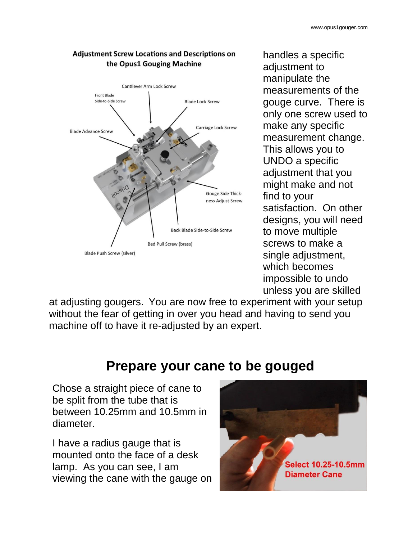

**Adjustment Screw Locations and Descriptions on** handles a specific

adjustment to manipulate the measurements of the gouge curve. There is only one screw used to make any specific measurement change. This allows you to UNDO a specific adjustment that you might make and not find to your satisfaction. On other designs, you will need to move multiple screws to make a single adjustment, which becomes impossible to undo unless you are skilled

at adjusting gougers. You are now free to experiment with your setup without the fear of getting in over you head and having to send you machine off to have it re-adjusted by an expert.

## **Prepare your cane to be gouged**

Chose a straight piece of cane to be split from the tube that is between 10.25mm and 10.5mm in diameter.

I have a radius gauge that is mounted onto the face of a desk lamp. As you can see, I am viewing the cane with the gauge on

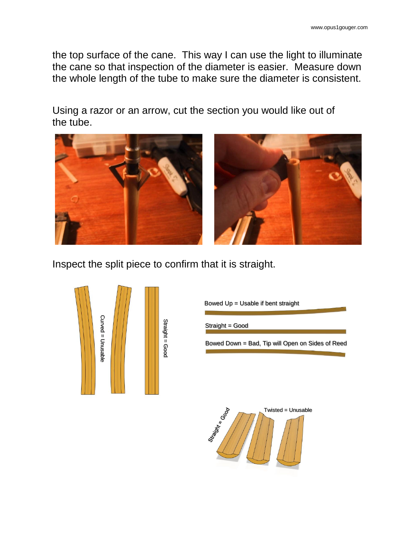the top surface of the cane. This way I can use the light to illuminate the cane so that inspection of the diameter is easier. Measure down the whole length of the tube to make sure the diameter is consistent.

Using a razor or an arrow, cut the section you would like out of the tube.



Inspect the split piece to confirm that it is straight.



Bowed  $Up = Usable$  if bent straight

Straight = Good

Bowed Down = Bad, Tip will Open on Sides of Reed

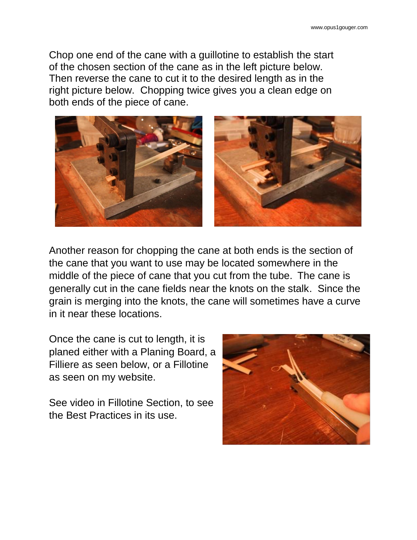Chop one end of the cane with a guillotine to establish the start of the chosen section of the cane as in the left picture below. Then reverse the cane to cut it to the desired length as in the right picture below. Chopping twice gives you a clean edge on both ends of the piece of cane.



Another reason for chopping the cane at both ends is the section of the cane that you want to use may be located somewhere in the middle of the piece of cane that you cut from the tube. The cane is generally cut in the cane fields near the knots on the stalk. Since the grain is merging into the knots, the cane will sometimes have a curve in it near these locations.

Once the cane is cut to length, it is planed either with a Planing Board, a Filliere as seen below, or a Fillotine as seen on my website.

See video in Fillotine Section, to see the Best Practices in its use.

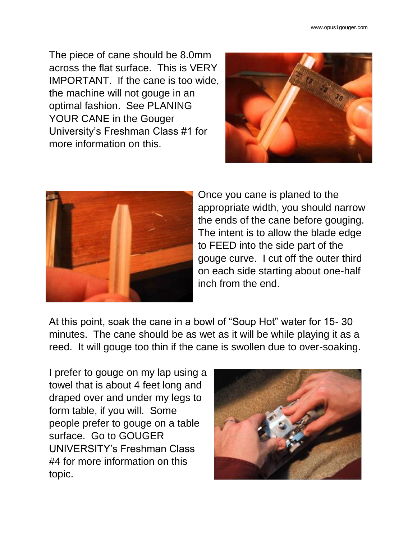The piece of cane should be 8.0mm across the flat surface. This is VERY IMPORTANT. If the cane is too wide, the machine will not gouge in an optimal fashion. See PLANING YOUR CANE in the Gouger University's Freshman Class #1 for more information on this.





Once you cane is planed to the appropriate width, you should narrow the ends of the cane before gouging. The intent is to allow the blade edge to FEED into the side part of the gouge curve. I cut off the outer third on each side starting about one-half inch from the end.

At this point, soak the cane in a bowl of "Soup Hot" water for 15- 30 minutes. The cane should be as wet as it will be while playing it as a reed. It will gouge too thin if the cane is swollen due to over-soaking.

I prefer to gouge on my lap using a towel that is about 4 feet long and draped over and under my legs to form table, if you will. Some people prefer to gouge on a table surface. Go to GOUGER UNIVERSITY's Freshman Class #4 for more information on this topic.